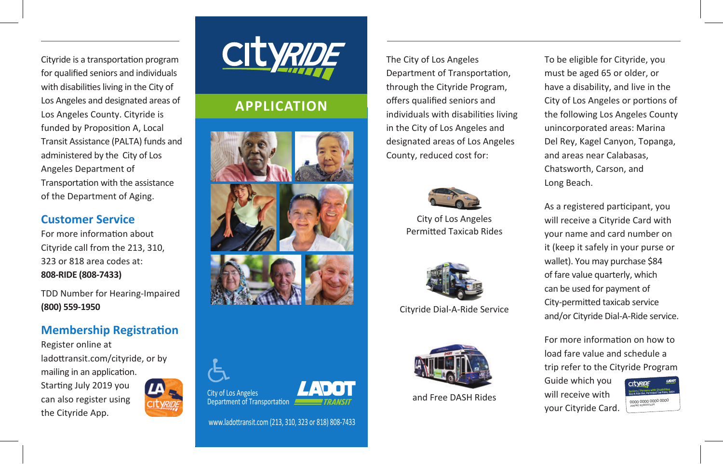Cityride is a transportation program for qualified seniors and individuals with disabilities living in the City of Los Angeles and designated areas of Los Angeles County. Cityride is funded by Proposition A, Local Transit Assistance (PALTA) funds and administered by the City of Los Angeles Department of Transportation with the assistance of the Department of Aging.

#### **Customer Service**

For more information about Cityride call from the 213, 310, 323 or 818 area codes at: **808-RIDE (808-7433)**

TDD Number for Hearing-Impaired **(800) 559-1950**

### **Membership Registration**

Register online at ladottransit.com/cityride, or by mailing in an application. Starting July 2019 you can also register using the Cityride App.





# **APPLICATION**





www.ladottransit.com (213, 310, 323 or 818) 808-7433

The City of Los Angeles Department of Transportation, through the Cityride Program, offers qualified seniors and individuals with disabilities living in the City of Los Angeles and designated areas of Los Angeles County, reduced cost for:



City of Los Angeles Permitted Taxicab Rides



Cityride Dial-A-Ride Service



To be eligible for Cityride, you must be aged 65 or older, or have a disability, and live in the City of Los Angeles or portions of the following Los Angeles County unincorporated areas: Marina Del Rey, Kagel Canyon, Topanga, and areas near Calabasas, Chatsworth, Carson, and Long Beach.

As a registered participant, you will receive a Cityride Card with your name and card number on it (keep it safely in your purse or wallet). You may purchase \$84 of fare value quarterly, which can be used for payment of City-permitted taxicab service and/or Cityride Dial-A-Ride service.

For more information on how to load fare value and schedule a trip refer to the Cityride Program

Guide which you will receive with your Cityride Card. and Free DASH Rides 0000 0000 0000 0000